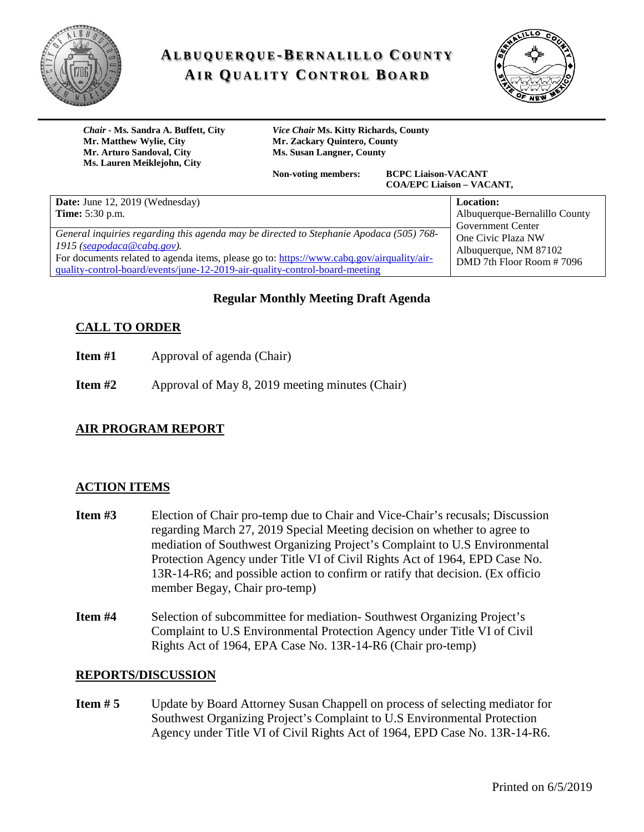

# **ALBUQUERQUE -BERNALILLO C OUNTY AIR QUALITY C ONTROL B OARD**



**Mr. Matthew Wylie, City Mr. Zackary Quintero, County Mr. Arturo Sandoval, City Ms. Susan Langner, County Ms. Lauren Meiklejohn, City**

*Chair* **- Ms. Sandra A. Buffett, City** *Vice Chair* **Ms. Kitty Richards, County**

**Non-voting members: BCPC Liaison-VACANT COA/EPC Liaison – VACANT,** 

| Date: June 12, 2019 (Wednesday)                                                                                                                                                                                                                                                                   | <b>Location:</b>                                                                                    |
|---------------------------------------------------------------------------------------------------------------------------------------------------------------------------------------------------------------------------------------------------------------------------------------------------|-----------------------------------------------------------------------------------------------------|
| <b>Time:</b> 5:30 p.m.                                                                                                                                                                                                                                                                            | Albuquerque-Bernalillo County                                                                       |
| General inquiries regarding this agenda may be directed to Stephanie Apodaca (505) 768-<br>1915 (seapodaca@cabq.gov).<br>For documents related to agenda items, please go to: https://www.cabq.gov/airquality/air-<br>quality-control-board/events/june-12-2019-air-quality-control-board-meeting | <b>Government Center</b><br>One Civic Plaza NW<br>Albuquerque, NM 87102<br>DMD 7th Floor Room #7096 |

## **Regular Monthly Meeting Draft Agenda**

# **CALL TO ORDER**

- **Item #1** Approval of agenda (Chair)
- **Item #2** Approval of May 8, 2019 meeting minutes (Chair)

## **AIR PROGRAM REPORT**

## **ACTION ITEMS**

- **Item #3** Election of Chair pro-temp due to Chair and Vice-Chair's recusals; Discussion regarding March 27, 2019 Special Meeting decision on whether to agree to mediation of Southwest Organizing Project's Complaint to U.S Environmental Protection Agency under Title VI of Civil Rights Act of 1964, EPD Case No. 13R-14-R6; and possible action to confirm or ratify that decision. (Ex officio member Begay, Chair pro-temp)
- **Item #4** Selection of subcommittee for mediation- Southwest Organizing Project's Complaint to U.S Environmental Protection Agency under Title VI of Civil Rights Act of 1964, EPA Case No. 13R-14-R6 (Chair pro-temp)

### **REPORTS/DISCUSSION**

**Item #5** Update by Board Attorney Susan Chappell on process of selecting mediator for Southwest Organizing Project's Complaint to U.S Environmental Protection Agency under Title VI of Civil Rights Act of 1964, EPD Case No. 13R-14-R6.